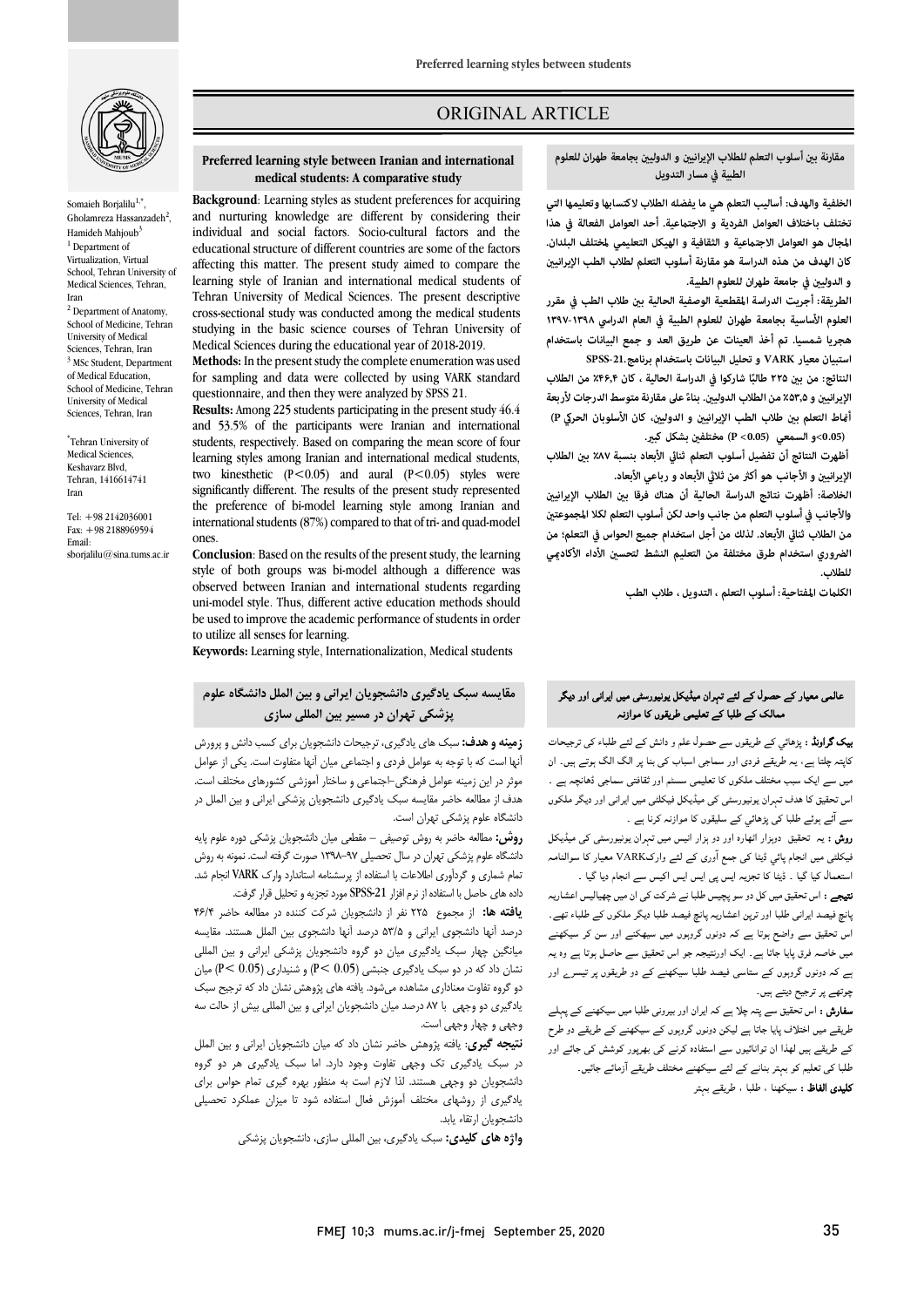

Somaieh Borjalilu<sup>1,\*</sup> Gholamreza Hassanzadeh<sup>2</sup>, Hamideh Mahioub<sup>3</sup>  $1$  Department of Virtualization, Virtual School, Tehran University of Medical Sciences, Tehran, Iran  $2$  Department of Anatomy,

School of Medicine, Tehran University of Medical Sciences, Tehran, Iran  $3$  MSc Student, Department of Medical Education, School of Medicine, Tehran University of Medical Sciences, Tehran, Iran

Tehran University of \* Medical Sciences, Keshavarz Blvd, Tehran, 1416614741 Iran

Tel: +98 2142036001 Fax: +98 2188969594 Email:

sborialilu@sina.tums.ac.ir

## ORIGINAL ARTICLE

#### **مقارنة ب أسلوب التعلم للطلاب الإيراني و الدولي بجامعة طهران للعلوم الطبية في مسار التدويل**

ص

 **الخلفية والهدف: أساليب التعلم هي ما يفضله الطلاب لاكتسابها وتعليمها التي المجال هو العوامل الاجتعية و الثقافية و الهيكل التعليمي لمختلف البلدان. كان الهدف من هذه الدراسة هو مقارنة أسلوب التعلم لطلاب الطب الإيراني و الدولي في جامعة طهران للعلوم الطبية. تختلف باختلاف العوامل الفردية و الاجتعية. أحد العوامل الفعالة في هذا** 

الطريقة: أجريت الدراسة المقطعية الوصفية الحالية بين طلاب الطب في مقرر **العلوم الأساسية بجامعة طهران للعلوم الطبية في العام الدراسي ۱۳۹۷-۱۳۹۸ هجریا شمسیا. تم أخذ العينات عن طريق العد و جمع البيانات باستخدام استبيان معيار VARK و تحليل البيانات باستخدام برنامج-21.SPSS طالب ٪۴۶٫۴ من الطلاب ً النتائج: من ب ۲۲۵ ا شاركوا في الدراسة الحالية ، كان** 

 **ً الإيراني و ۵۳٫۵ على مقارنة متوسط الدرجات لأربعة ٪ من الطلاب الدولي. بناء** .<br>أ<del>ن</del>اط التعلم بين طلاب الطب الإيرانيين و الدوليين، كان الأسلوبان الحركي P)  **(0.05>و السمعي (0.05> P (مختلف بشكل كب.** 

أظهرت النتائج أن تفضيل أسلوب التعلم ثنائي الأبعاد بنسبة ۸۷٪ بين الطلاب الإيرانيين و الأجانب هو أكثر من ثلاثي الأبعاد و رباعي الأبعاد.

الخلاصة: أظهرت نتائج الدراسة الحالية أن هناك فرقا بين الطلاب الإيرانيين<br>. **من الطلاب ثنا الأبعاد. لذلك من أجل استخدام جميع الحواس في التعلم؛ من الضروري استخدام طرق مختلفة من التعليم النشط لتحس الأداء الأكادي والأجانب في أسلوب التعلم من جانب واحد لكن أسلوب التعلم لكلا المجموعت للطلاب.** 

**الكلت المفتاحية: أسلوب التعلم ، التدويل ، طلاب الطب**

# ر ل ان ر اا اور د ممالک کے طلبا کے تعلیمی طریقوں کا موازنہ<br>۔

**یک گراونڈ :** پڑھائي کے طریقوں سے حصول علم و دانش کے لئے طلباء کی ترجیحات ناپیہ پتہ ہے، یہ برہتے برہی اور سندبی اسباب ہی ہے پر ادب ادب ہوتے ہیں۔ ان<br>میں سے ایک سبب مختلف ملکوں کا تعلیمی سسٹم اور ثقافتی سماجی ڈھانچہ ہے۔ سے سے سے ہیں۔<br>اس تحقیق کا ہدف تہران یونیورسٹی کی میڈیکل فیکلٹی میں ایرانی اور دیگر ملکوں سے آئے ہوئے طلبا کی پڑھائی کے سلیقوں کا موازنہ کرنا ہے . کاپتہ چلتا ہے، یہ طریقے فردی اور سماجی اسباب کی بنا پر الگ الگ ہوتے ہیں۔ ان

ر**وش :** یہ تحقیق دوہزار اٹھارہ اور دو ہزار انیس میں تہران یونیورسٹی کی میڈیکل فیکلٹی میں انجام پائی ڈیٹا کی جمع آوری کے لئے وارکVARK معیار کا سوالنامہ استعمال کیا گیا ۔ ڈیٹا کا تجزیہ ایس پی ایس ایس اکیس سے انجام دیا گیا ۔

میوجے مسین سین میں س در سو پہلیس ہے جو سرحت سی میں پہلیس سے ریہ<br>پانچ فیصد ایرانی طلبا اور ترپن اعشاریہ پانچ فیصد طلبا دیگر ملکوں کے طلباء تھے۔ ہ ہے ۔<br>اس تحقیق سے واضح ہوتا ہے کہ دونوں گروہوں میں سیھکنے اور سن کر سیکھنے میں خاصہ فرق پایا جاتا ہے۔ ایک اورنتیجہ جو اس تحقیق سے حاصل ہوتا ہے وہ یہ ہے کہ دونوں گروہوں کے ستاسی فیصد طلبا سیکھنے کے دو طریقوں پر تیسر<sub>ے</sub> اور چوتھے پر ترجیح دیتے ہیں۔ **نتیجے :** اس تحقیق میں کل دو سو پچیس طلبا نے شرکت کی ان میں چھیالیس اعشاریہ

**سفارش :** اس تحقیق سے پتہ چلا ہے کہ ایران اور بیرونی طلبا میں سیکھنے کے پہلے طریقے میں اختلاف پایا جاتا ہے لیکن دونوں گروہوں کے سیکھنے کے طریقے دو طرح<br>سفید آز ۔ **کلیدی الفاظ :** سیکهنا ، طلبا ، طریقے بہتر کے طریقے ہیں لھذا ان توانائیوں سے استفادہ کرنے کی بھرپور کوشش کی جائے اور

# **Preferred learning style between Iranian and international medical students: A comparative study**

i

 and nurturing knowledge are different by considering their individual and social factors. Socio-cultural factors and the affecting this matter. The present study aimed to compare the learning style of Iranian and international medical students of Tehran University of Medical Sciences. The present descriptive studying in the basic science courses of Tehran University of Medical Sciences during the educational year of 2018-2019. **Background**: Learning styles as student preferences for acquiring educational structure of different countries are some of the factors cross-sectional study was conducted among the medical students

 **Methods:** In the present study the complete enumeration was used questionnaire, and then they were analyzed by SPSS 21. for sampling and data were collected by using VARK standard

 **Results:** Among 225 students participating in the present study 46.4 students, respectively. Based on comparing the mean score of four learning styles among Iranian and international medical students, two kinesthetic  $(P<0.05)$  and aural  $(P<0.05)$  styles were the preference of bi-model learning style among Iranian and international students (87%) compared to that of tri-and quad-model and 53.5% of the participants were Iranian and international significantly different. The results of the present study represented ones.

 **Conclusion**: Based on the results of the present study, the learning style of both groups was bi-model although a difference was observed between Iranian and international students regarding be used to improve the academic performance of students in order uni-model style. Thus, different active education methods should to utilize all senses for learning.

**Keywords:** Learning style, Internationalization, Medical students

# **مقایسه سبک یادگیري دانشجویان ایرانی و بین الملل دانشگاه علوم پزشکی تهران در مسیر بین المللی سازي**

 **زمینه و هدف:** سبک هاي یادگیري، ترجیحات دانشجویان براي کسب دانش و پرورش انها است که با توجه به عوامل فردی و اجتماعی میان آنها متفاوت است. یکی از عوامل<br>موثر در این زمینه عوامل فرهنگی-اجتماعی و ساختار آموزشی کشورهای مختلف است. هدف از مطالعه حاضر مقایسه سبک یادگیري دانشجویان پزشکی ایرانی و بین الملل در دانشگاه علوم پزشکی تهران است. آنها است که با توجه به عوامل فردي و اجتماعی میان آنها متفاوت است. یکی از عوامل

 **روش:** مطالعه حاضر به روش توصیفی – مقطعی میان دانشجویان پزشکی دوره علوم پایه دانشگاه علوم پزشکی تهران در سال تحصیلی 1398-97 صورت گرفته است. نمونه به روش تمام شماري و گردآوري اطلاعات با استفاده از پرسشنامه استاندارد وارك VARK انجام شد. داده هاي حاصل با استفاده از نرم افزار -21SPSS مورد تجزیه و تحلیل قرار گرفت.

 **یافته ها:** از مجموع 225 نفر از دانشجویان شرکت کننده در مطالعه حاضر 46/4 درصد آنها دانشجوي ایرانی و 53/5 درصد آنها دانشجوي بین الملل هستند. مقایسه میانگین چهار سبک یادگیري میان دو گروه دانشجویان پزشکی ایرانی و بین المللی نشان داد که در دو سبک یادگیري جنبشی (0.05 >P (و شنیداري (0.05 >P (میان دو گروه تفاوت معناداري مشاهده میشود. یافته هاي پژوهش نشان داد که ترجیح سبک یادگیري دو وجهی با 87 درصد میان دانشجویان ایرانی و بین المللی بیش از حالت سه وجهی و چهار وجهی است.

 **نتیجه گیري**: یافته پژوهش حاضر نشان داد که میان دانشجویان ایرانی و بین الملل در سبک یادگیري تک وجهی تفاوت وجود دارد. اما سبک یادگیري هر دو گروه دانشجویان دو وجهی هستند. لذا لازم است به منظور بهره گیري تمام حواس براي یادگیري از روشهاي مختلف آموزش فعال استفاده شود تا میزان عملکرد تحصیلی دانشجویان ارتقاء یابد.

**واژه هاي کلیدي:** سبک یادگیري، بین المللی سازي، دانشجویان پزشکی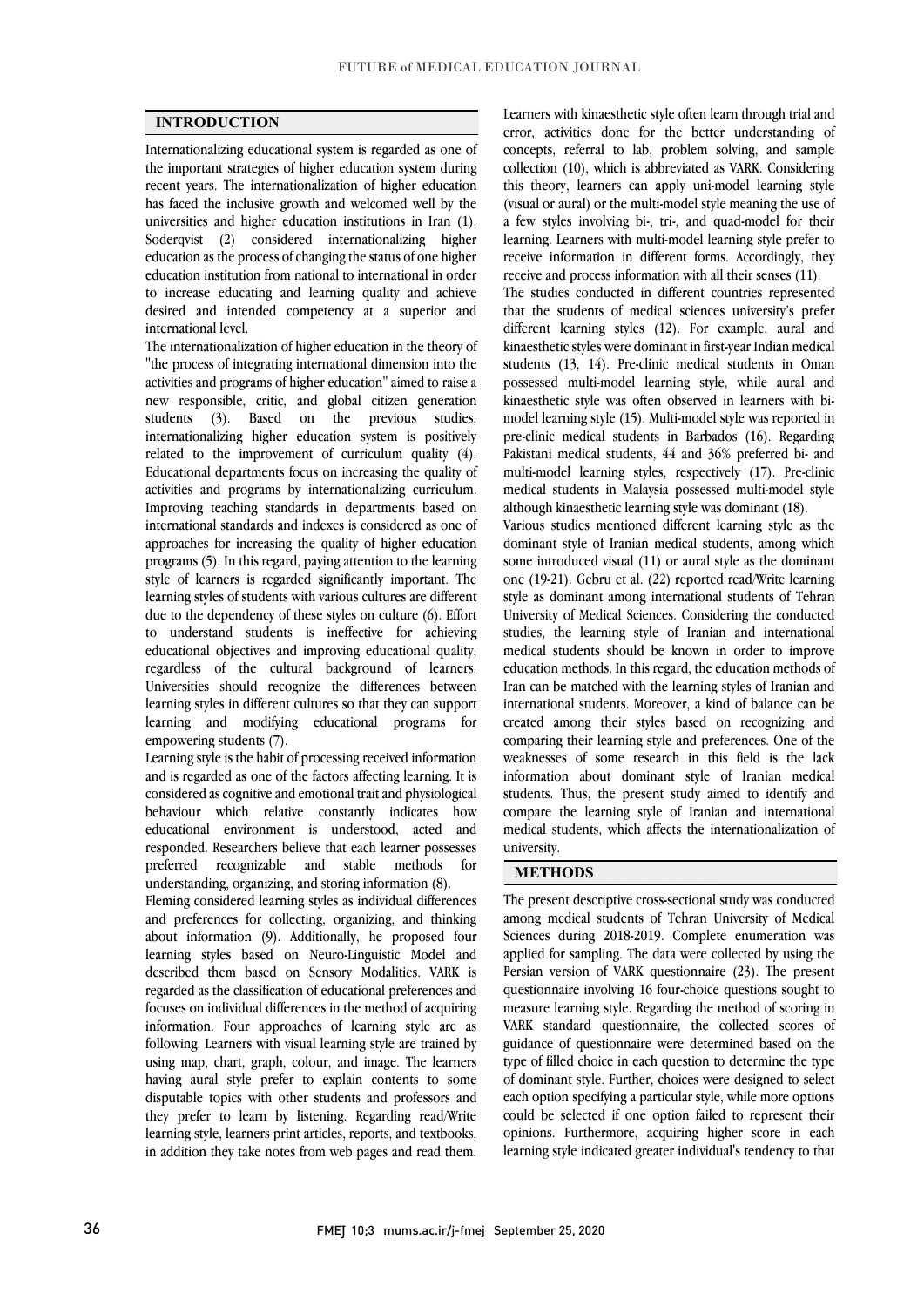### **INTRODUCTION**

 Internationalizing educational system is regarded as one of the important strategies of higher education system during recent years. The internationalization of higher education has faced the inclusive growth and welcomed well by the Soderqvist (2) considered internationalizing higher education as the process of changing the status of one higher education institution from national to international in order to increase educating and learning quality and achieve desired and intended competency at a superior and international level universities and higher education institutions in Iran (1). international level.

 The internationalization of higher education in the theory of "the process of integrating international dimension into the activities and programs of higher education" aimed to raise a students  $(3)$ . Based on the previous studies, internationalizing higher education system is positively related to the improvement of curriculum quality (4). Educational departments focus on increasing the quality of Improving teaching standards in departments based on international standards and indexes is considered as one of approaches for increasing the quality of higher education programs (5). In this regard, paying attention to the learning learning styles of students with various cultures are different due to the dependency of these styles on culture (6). Effort to understand students is ineffective for achieving educational objectives and improving educational quality, Universities should recognize the differences between learning styles in different cultures so that they can support learning and modifying educational programs for new responsible, critic, and global citizen generation activities and programs by internationalizing curriculum. style of learners is regarded significantly important. The regardless of the cultural background of learners. empowering students (7).

empowering students (7).<br>Learning style is the habit of processing received information and is regarded as one of the factors affecting learning. It is considered as cognitive and emotional trait and physiological behaviour which relative constantly indicates how educational environment is understood, acted and for responded. Researchers believe that each learner possesses preferred recognizable and stable methods understanding, organizing, and storing information (8).

 Fleming considered learning styles as individual differences and preferences for concernig, organizing, and uninking<br>about information (9). Additionally, he proposed four learning styles based on Neuro-Linguistic Model and described them based on Sensory Modalities. VARK is regarded as the classification of educational preferences and focuses on individual differences in the method of acquiring following. Learners with visual learning style are trained by using map, chart, graph, colour, and image. The learners having aural style prefer to explain contents to some they prefer to learn by listening. Regarding read/Write learning style, learners print articles, reports, and textbooks, in addition they take notes from web pages and read them. and preferences for collecting, organizing, and thinking information. Four approaches of learning style are as disputable topics with other students and professors and

 Learners with kinaesthetic style often learn through trial and concepts, referral to lab, problem solving, and sample collection (10), which is abbreviated as VARK. Considering this theory, learners can apply uni-model learning style a few styles involving bi-, tri-, and quad-model for their receive information in different forms. Accordingly, they error, activities done for the better understanding of (visual or aural) or the multi-model style meaning the use of learning. Learners with multi-model learning style prefer to receive and process information with all their senses (11).

 The studies conducted in different countries represented that the students of medical sciences university's prefer kinaesthetic styles were dominant in first-year Indian medical students (13, 14). Pre-clinic medical students in Oman possessed multi-model learning style, while aural and kinaesthetic style was often observed in learners with bi- pre-clinic medical students in Barbados (16). Regarding Pakistani medical students, 44 and 36% preferred bi- and multi-model learning styles, respectively (17). Pre-clinic medical students in Malaysia possessed multi-model style different learning styles (12). For example, aural and model learning style (15). Multi-model style was reported in although kinaesthetic learning style was dominant (18).

 Various studies mentioned different learning style as the dominant style of Iranian medical students, among which some introduced visual (11) or aural style as the dominant  $s(t)$  is the unit of all  $(22)$  reported readywine realiting<br>style as dominant among international students of Tehran University of Medical Sciences. Considering the conducted studies, the learning style of Iranian and international medical students should be known in order to improve Iran can be matched with the learning styles of Iranian and international students. Moreover, a kind of balance can be created among their styles based on recognizing and comparing their learning style and preferences. One of the information about dominant style of Iranian medical students. Thus, the present study aimed to identify and compare the learning style of Iranian and international medical students, which affects the internationalization of ֦ one (19-21). Gebru et al. (22) reported read/Write learning education methods. In this regard, the education methods of weaknesses of some research in this field is the lack university.

#### **METHODS**

 The present descriptive cross-sectional study was conducted among medical students of Tehran University of Medical applied for sampling. The data were collected by using the Persian version of VARK questionnaire (23). The present questionnaire involving 16 four-choice questions sought to measure learning style. Regarding the method of scoring in guidance of questionnaire were determined based on the type of filled choice in each question to determine the type of dominant style. Further, choices were designed to select each option specifying a particular style, while more options opinions. Furthermore, acquiring higher score in each learning style indicated greater individual's tendency to that Sciences during 2018-2019. Complete enumeration was VARK standard questionnaire, the collected scores of could be selected if one option failed to represent their

֦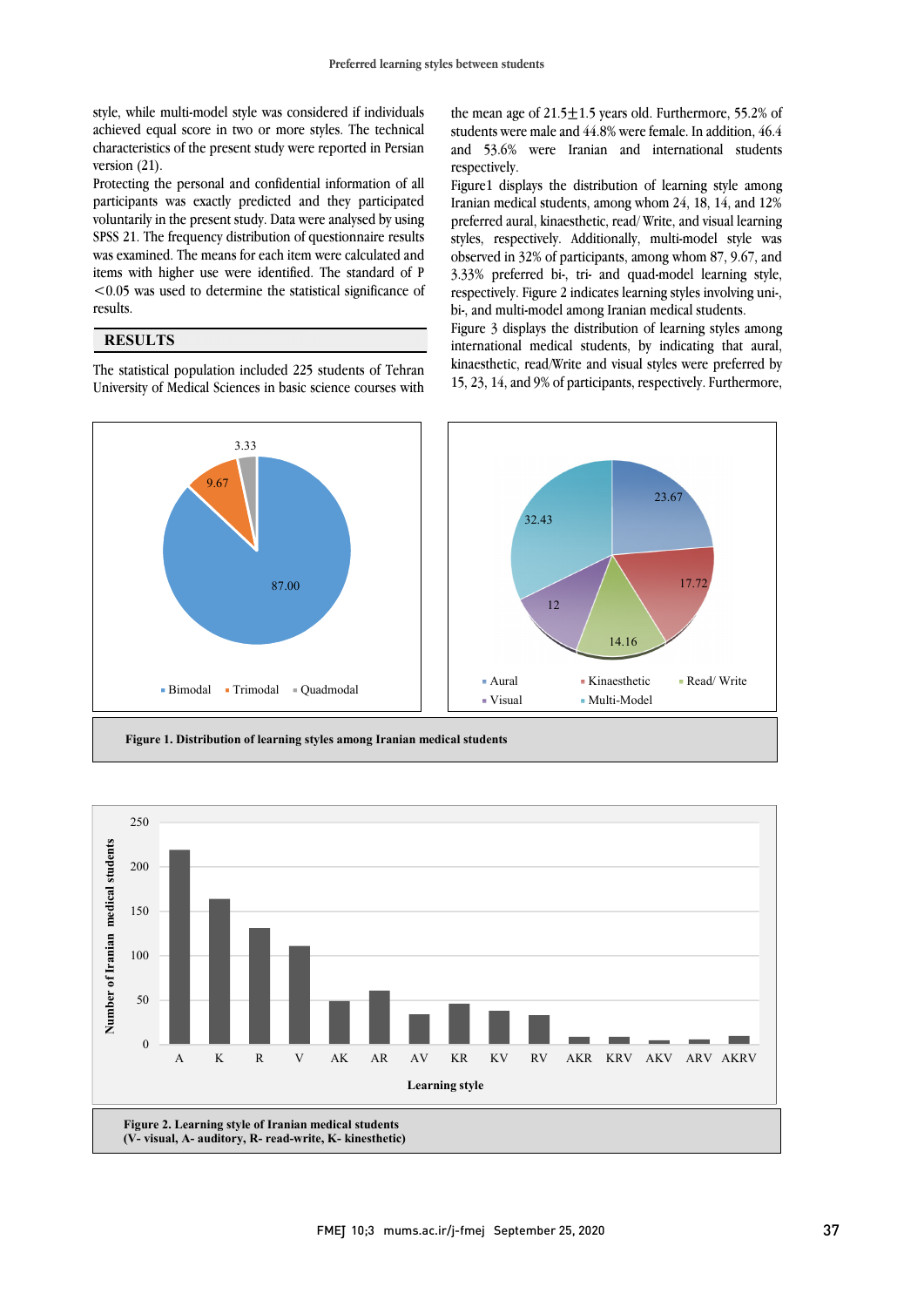achieved equal score in two or more styles. The technical characteristics of the present study were reported in Persian style, while multi-model style was considered if individuals version (21).

 Protecting the personal and confidential information of all voluntarily in the present study. Data were analysed by using SPSS 21. The frequency distribution of questionnaire results was examined. The means for each item were calculated and items with higher use were identified. The standard of P <0.05 was used to determine the statistical significance of  $\overline{\phantom{0}}$ participants was exactly predicted and they participated results.

## **RESULTS**

 The statistical population included 225 students of Tehran University of Medical Sciences in basic science courses with

students were male and 44.8% were female. In addition, 46.4 and 53.6% were Iranian and international students the mean age of  $21.5 \pm 1.5$  years old. Furthermore, 55.2% of respectively.

 Figure1 displays the distribution of learning style among Iranian medical students, among whom 24, 18, 14, and 12% styles, respectively. Additionally, multi-model style was observed in 32% of participants, among whom 87, 9.67, and 3.33% preferred bi-, tri- and quad-model learning style, respectively. Figure 2 indicates learning styles involving uni-, preferred aural, kinaesthetic, read/ Write, and visual learning bi-, and multi-model among Iranian medical students.

Figure 3 displays the distribution of learning styles among international medical students, by indicating that aural, kinaesthetic, read/Write and visual styles were preferred by 15, 23, 14, and 9% of participants, respectively. Furthermore,



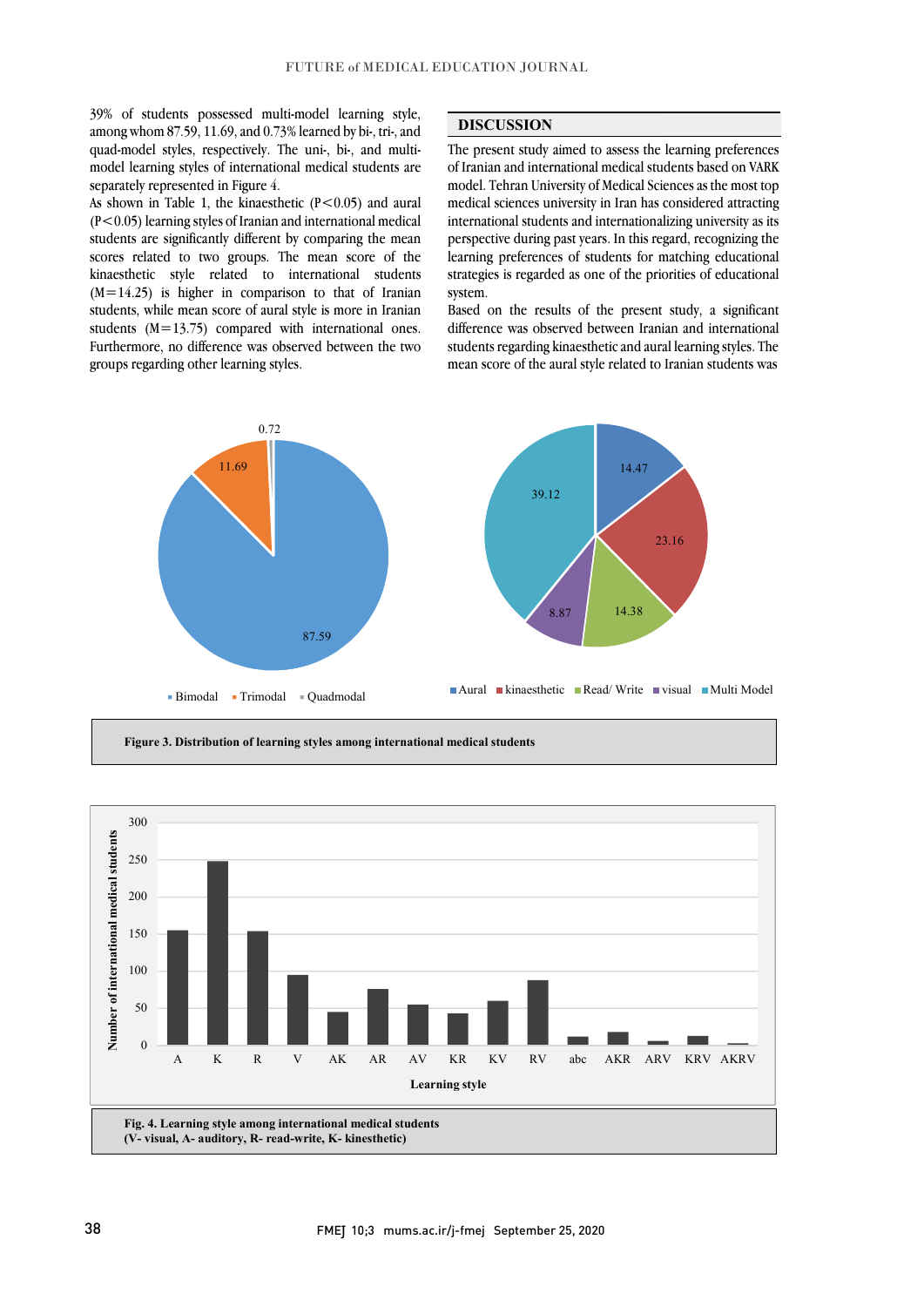39% of students possessed multi-model learning style, among whom 87.59, 11.69, and 0.73% learned by bi-, tri-, and quad-model styles, respectively. The uni-, bi-, and multimodel learning styles of international medical students are separately represented in Figure 4.

As shown in Table 1, the kinaesthetic  $(P<0.05)$  and aural (P<0.05) learning styles of Iranian and international medical students are significantly different by comparing the mean scores related to two groups. The mean score of the kinaesthetic style related to international students  $(M=14.25)$  is higher in comparison to that of Iranian students, while mean score of aural style is more in Iranian students  $(M=13.75)$  compared with international ones. Furthermore, no difference was observed between the two groups regarding other learning styles.

# **DISCUSSION**

The present study aimed to assess the learning preferences of Iranian and international medical students based on VARK model. Tehran University of Medical Sciences as the most top medical sciences university in Iran has considered attracting perspective during past years. In this regard, recognizing the learning preferences of students for matching educational strategies is regarded as one of the priorities of educational system. international students and internationalizing university as its

 difference was observed between Iranian and international students regarding kinaestheticand aural learning styles. The mean score of the aural style related to Iranian students was Based on the results of the present study, a significant



٦

**Figure 3. Distribution of learning styles among international medical students**

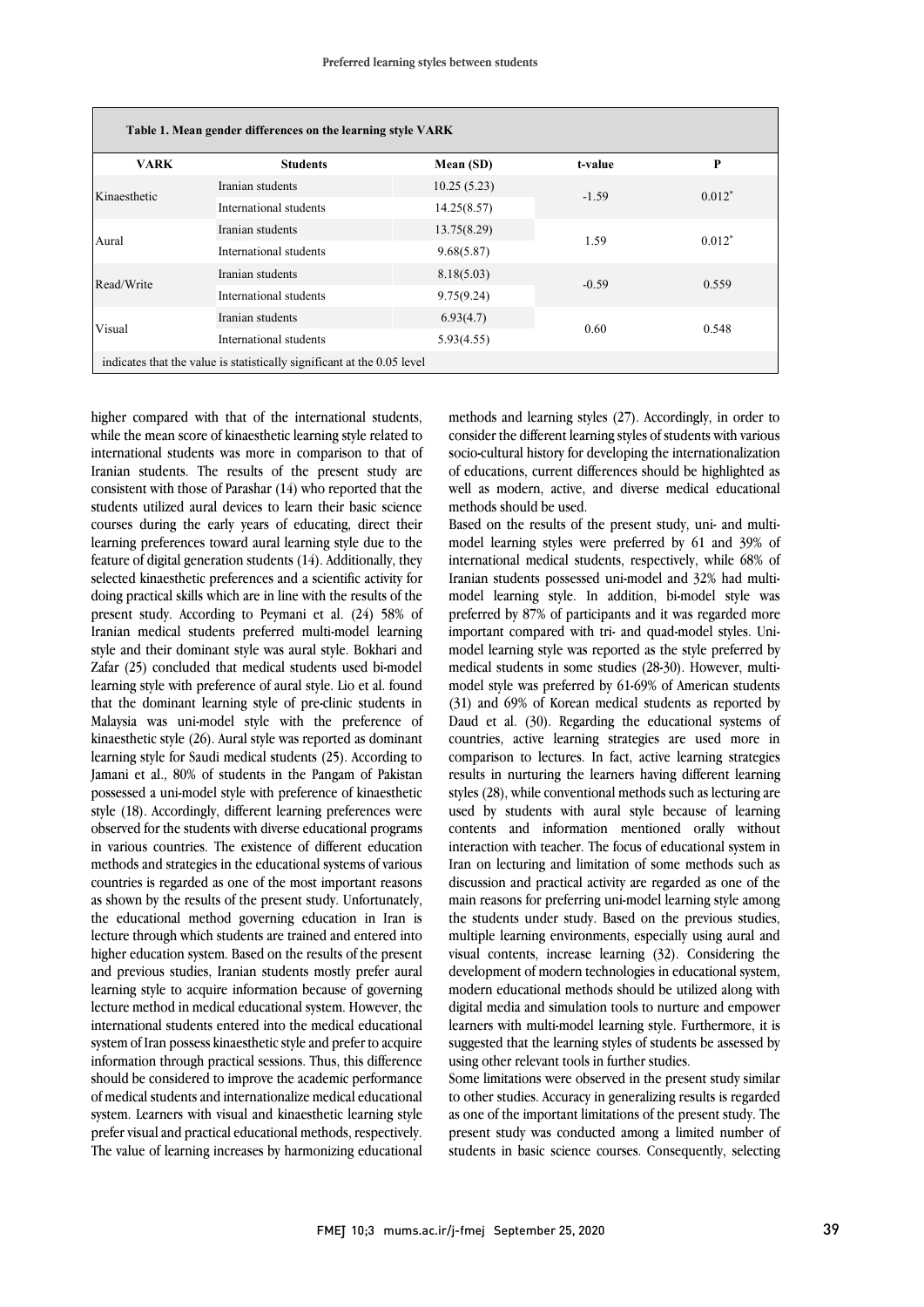| Table 1. Mean gender differences on the learning style VARK             |                        |             |         |          |
|-------------------------------------------------------------------------|------------------------|-------------|---------|----------|
| <b>VARK</b>                                                             | <b>Students</b>        | Mean (SD)   | t-value | P        |
| Kinaesthetic                                                            | Iranian students       | 10.25(5.23) | $-1.59$ | $0.012*$ |
|                                                                         | International students | 14.25(8.57) |         |          |
| Aural                                                                   | Iranian students       | 13.75(8.29) | 1.59    | $0.012*$ |
|                                                                         | International students | 9.68(5.87)  |         |          |
| Read/Write                                                              | Iranian students       | 8.18(5.03)  | $-0.59$ | 0.559    |
|                                                                         | International students | 9.75(9.24)  |         |          |
| Visual                                                                  | Iranian students       | 6.93(4.7)   | 0.60    | 0.548    |
|                                                                         | International students | 5.93(4.55)  |         |          |
| indicates that the value is statistically significant at the 0.05 level |                        |             |         |          |

higher compared with that of the international students, while the mean score of kinaesthetic learning style related to international students was more in comparison to that of Iranian students. The results of the present study are consistent with those of Parashar (14) who reported that the students utilized aural devices to learn their basic science courses during the early years of educating, direct their learning preferences toward aural learning style due to the feature of digital generation students (14). Additionally, they selected kinaesthetic preferences and a scientific activity for doing practical skills which are in line with the results of the present study. According to Peymani et al. (24) 58% of Iranian medical students preferred multi-model learning style and their dominant style was aural style. Bokhari and Zafar (25) concluded that medical students used bi-model learning style with preference of aural style. Lio et al. found that the dominant learning style of pre-clinic students in Malaysia was uni-model style with the preference of kinaesthetic style (26). Aural style was reported as dominant learning style for Saudi medical students (25). According to Jamani et al., 80% of students in the Pangam of Pakistan possessed a uni-model style with preference of kinaesthetic style (18). Accordingly, different learning preferences were observed for the students with diverse educational programs in various countries. The existence of different education methods and strategies in the educational systems of various countries is regarded as one of the most important reasons as shown by the results of the present study. Unfortunately, the educational method governing education in Iran is lecture through which students are trained and entered into higher education system. Based on the results of the present and previous studies, Iranian students mostly prefer aural learning style to acquire information because of governing lecture method in medical educational system. However, the international students entered into the medical educational system of Iran possess kinaesthetic style and prefer to acquire information through practical sessions. Thus, this difference should be considered to improve the academic performance of medical students and internationalize medical educational system. Learners with visual and kinaesthetic learning style prefer visual and practical educational methods, respectively. The value of learning increases by harmonizing educational methods and learning styles (27). Accordingly, in order to consider the different learning styles of students with various socio-cultural history for developing the internationalization of educations, current differences should be highlighted as well as modern, active, and diverse medical educational methods should be used.

Based on the results of the present study, uni- and multimodel learning styles were preferred by 61 and 39% of international medical students, respectively, while 68% of Iranian students possessed uni-model and 32% had multimodel learning style. In addition, bi-model style was preferred by 87% of participants and it was regarded more important compared with tri- and quad-model styles. Unimodel learning style was reported as the style preferred by medical students in some studies (28-30). However, multimodel style was preferred by 61-69% of American students (31) and 69% of Korean medical students as reported by Daud et al. (30). Regarding the educational systems of countries, active learning strategies are used more in comparison to lectures. In fact, active learning strategies results in nurturing the learners having different learning styles (28), while conventional methods such as lecturing are used by students with aural style because of learning contents and information mentioned orally without interaction with teacher. The focus of educational system in Iran on lecturing and limitation of some methods such as discussion and practical activity are regarded as one of the main reasons for preferring uni-model learning style among the students under study. Based on the previous studies, multiple learning environments, especially using aural and visual contents, increase learning (32). Considering the development of modern technologies in educational system, modern educational methods should be utilized along with digital media and simulation tools to nurture and empower learners with multi-model learning style. Furthermore, it is suggested that the learning styles of students be assessed by using other relevant tools in further studies.

Some limitations were observed in the present study similar to other studies. Accuracy in generalizing results is regarded as one of the important limitations of the present study. The present study was conducted among a limited number of students in basic science courses. Consequently, selecting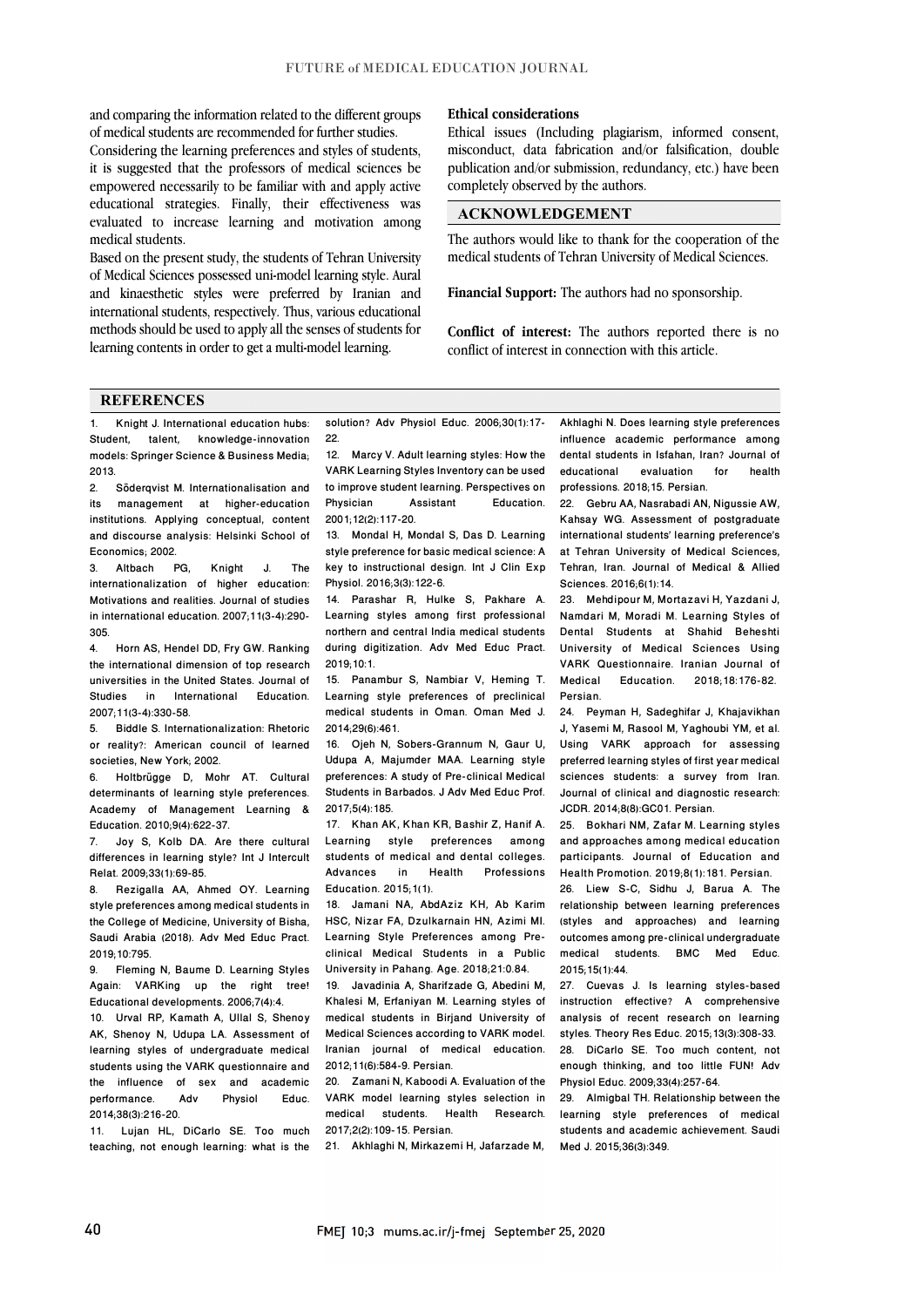and comparing the information related to the different groups of medical students are recommended for further studies.

Considering the learning preferences and styles of students, it is suggested that the professors of medical sciences be empowered necessarily to be familiar with and apply active educational strategies. Finally, their effectiveness was evaluated to increase learning and motivation among medical students.

Based on the present study, the students of Tehran University of Medical Sciences possessed uni-model learning style. Aural and kinaesthetic styles were preferred by Iranian and international students, respectively. Thus, various educational methods should be used to apply all the senses of students for learning contents in order to get a multi-model learning.

#### **Ethical considerations**

Ethical issues (Including plagiarism, informed consent, misconduct, data fabrication and/or falsification, double publication and/or submission, redundancy, etc.) have been completely observed by the authors.

## **ACKNOWLEDGEMENT**

The authors would like to thank for the cooperation of the medical students of Tehran University of Medical Sciences.

**Financial Support:** The authors had no sponsorship.

**Conflict of interest:** The authors reported there is no conflict of interest in connection with this article.

#### **REFERENCES**

1. Knight J. International education hubs: Student, talent, knowledge-innovation models: Springer Science & Business Media;  $2013.$ 

2. Söderqvist M. Internationalisation and<br>its management at higher-education management at higher-education institutions. Applying conceptual, content and discourse analysis: Helsinki School of Economics; 2002.<br>3. Althach

3. Altbach PG, Knight J. The internationalization of higher education: Motivations and realities. Journal of studies in international education. 2007;11(3-4):290- 305.

4. Horn AS, Hendel DD, Fry GW. Ranking the international dimension of top research universities in the United States. Journal of Studies in International Education. 2007;11(3-4):330-58.

5. Biddle S. Internationalization: Rhetoric or reality?: American council of learned societies, New York; 2002.

6. Holtbrügge D, Mohr AT. Cultural determinants of learning style preferences. Academy of Management Learning & Education. 2010;9(4):622-37.<br>7. Jov S. Kolb DA. Are

Joy S, Kolb DA. Are there cultural differences in learning style? Int J Intercult Relat. 2009;33(1):69-85.

8. Rezigalla AA, Ahmed OY. Learning style preferences among medical students in the College of Medicine, University of Bisha, Saudi Arabia (2018). Adv Med Educ Pract. 2019;10:795.

9. Fleming N, Baume D. Learning Styles Again: VARKing up the right tree! Educational developments. 2006;7(4):4.

10. Urval RP, Kamath A, Ullal S, Shenoy AK, Shenoy N, Udupa LA. Assessment of learning styles of undergraduate medical students using the VARK questionnaire and the influence of sex and academic<br>performance. Adv Physiol Educ. performance. 2014;38(3):216-20.

11. Lujan HL, DiCarlo SE. Too much teaching, not enough learning: what is the solution? Adv Physiol Educ. 2006;30(1):17- 22

12. Marcy V. Adult learning styles: How the VARK Learning Styles Inventory can be used to improve student learning. Perspectives on Physician Assistant Education. 2001;12(2):117-20.

13. Mondal H, Mondal S, Das D. Learning style preference for basic medical science: A key to instructional design. Int J Clin Exp Physiol. 2016;3(3):122-6.

14. Parashar R, Hulke S, Pakhare A. Learning styles among first professional northern and central India medical students during digitization. Adv Med Educ Pract. 2019;10:1.

15. Panambur S, Nambiar V, Heming T. Learning style preferences of preclinical medical students in Oman. Oman Med J. 2014;29(6):461.

16. Ojeh N, Sobers-Grannum N, Gaur U, Udupa A, Majumder MAA. Learning style preferences: A study of Pre-clinical Medical Students in Barbados. J Adv Med Educ Prof. 2017;5(4):185.

17. Khan AK, Khan KR, Bashir Z, Hanif A. Learning style preferences among students of medical and dental colleges.<br>Advances in Health Professions Health Professions Education. 2015;1(1).

18. Jamani NA, AbdAziz KH, Ab Karim HSC, Nizar FA, Dzulkarnain HN, Azimi MI. Learning Style Preferences among Preclinical Medical Students in a Public University in Pahang. Age. 2018;21:0.84.

19. Javadinia A, Sharifzade G, Abedini M, Khalesi M, Erfaniyan M. Learning styles of medical students in Birjand University of Medical Sciences according to VARK model. Iranian journal of medical education. 2012;11(6):584-9. Persian.

20. Zamani N, Kaboodi A. Evaluation of the VARK model learning styles selection in medical students. Health Research. 2017;2(2):109-15. Persian.

21. Akhlaghi N, Mirkazemi H, Jafarzade M,

Akhlaghi N. Does learning style preferences influence academic performance among dental students in Isfahan, Iran? Journal of<br>educational evaluation for health educational professions. 2018;15. Persian.

22. Gebru AA, Nasrabadi AN, Nigussie AW, Kahsay WG. Assessment of postgraduate international students' learning preference's at Tehran University of Medical Sciences, Tehran, Iran. Journal of Medical & Allied Sciences. 2016;6(1):14.

23. Mehdipour M, Mortazavi H, Yazdani J, Namdari M, Moradi M. Learning Styles of Dental Students at Shahid Beheshti University of Medical Sciences Using VARK Questionnaire. Iranian Journal of 2018:18:176-82 Persian.

24. Peyman H, Sadeghifar J, Khajavikhan J, Yasemi M, Rasool M, Yaghoubi YM, et al. Using VARK approach for assessing preferred learning styles of first year medical sciences students: a survey from Iran. Journal of clinical and diagnostic research: JCDR. 2014;8(8):GC01. Persian.

25. Bokhari NM, Zafar M. Learning styles and approaches among medical education participants. Journal of Education and Health Promotion. 2019;8(1):181. Persian.

26. Liew S-C, Sidhu J, Barua A. The relationship between learning preferences (styles and approaches) and learning outcomes among pre-clinical undergraduate medical students. BMC Med Educ. 2015;15(1):44.

27. Cuevas J. Is learning styles-based instruction effective? A comprehensive analysis of recent research on learning styles. Theory Res Educ. 2015;13(3):308-33. 28. DiCarlo SE. Too much content, not enough thinking, and too little FUN! Adv Physiol Educ. 2009;33(4):257-64.

29. Almigbal TH. Relationship between the learning style preferences of medical students and academic achievement. Saudi Med J. 2015;36(3):349.